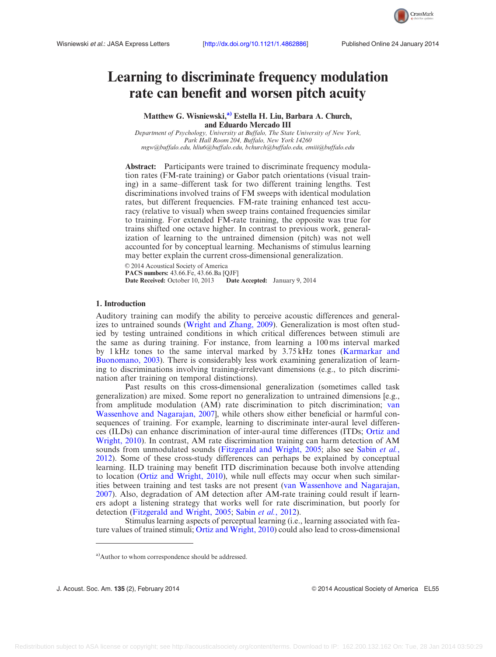

# <span id="page-0-0"></span>Learning to discriminate frequency modulation rate can benefit and worsen pitch acuity

Matthew G. Wisniewski,<sup>a)</sup> Estella H. Liu, Barbara A. Church, and Eduardo Mercado III

Department of Psychology, University at Buffalo, The State University of New York, Park Hall Room 204, Buffalo, New York 14260 mgw@buffalo.edu, hliu6@buffalo.edu, bchurch@buffalo.edu, emiii@buffalo.edu

Abstract: Participants were trained to discriminate frequency modulation rates (FM-rate training) or Gabor patch orientations (visual training) in a same–different task for two different training lengths. Test discriminations involved trains of FM sweeps with identical modulation rates, but different frequencies. FM-rate training enhanced test accuracy (relative to visual) when sweep trains contained frequencies similar to training. For extended FM-rate training, the opposite was true for trains shifted one octave higher. In contrast to previous work, generalization of learning to the untrained dimension (pitch) was not well accounted for by conceptual learning. Mechanisms of stimulus learning may better explain the current cross-dimensional generalization.

 $© 2014$  Acoustical Society of America PACS numbers: 43.66.Fe, 43.66.Ba [QJF]<br>Date Received: October 10, 2013 Date Date Accepted: January 9, 2014

## 1. Introduction

Auditory training can modify the ability to perceive acoustic differences and generalizes to untrained sounds ([Wright and Zhang, 2009\)](#page-5-0). Generalization is most often studied by testing untrained conditions in which critical differences between stimuli are the same as during training. For instance, from learning a 100 ms interval marked by 1 kHz tones to the same interval marked by 3.75 kHz tones [\(Karmarkar and](#page-5-0) [Buonomano, 2003](#page-5-0)). There is considerably less work examining generalization of learning to discriminations involving training-irrelevant dimensions (e.g., to pitch discrimination after training on temporal distinctions).

Past results on this cross-dimensional generalization (sometimes called task generalization) are mixed. Some report no generalization to untrained dimensions [e.g., from amplitude modulation (AM) rate discrimination to pitch discrimination; [van](#page-5-0) [Wassenhove and Nagarajan, 2007](#page-5-0)], while others show either beneficial or harmful consequences of training. For example, learning to discriminate inter-aural level differences (ILDs) can enhance discrimination of inter-aural time differences (ITDs; [Ortiz and](#page-5-0) [Wright, 2010\)](#page-5-0). In contrast, AM rate discrimination training can harm detection of AM sounds from unmodulated sounds ([Fitzgerald and Wright, 2005;](#page-5-0) also see [Sabin](#page-5-0) et al., [2012\)](#page-5-0). Some of these cross-study differences can perhaps be explained by conceptual learning. ILD training may benefit ITD discrimination because both involve attending to location ([Ortiz and Wright, 2010](#page-5-0)), while null effects may occur when such similarities between training and test tasks are not present [\(van Wassenhove and Nagarajan,](#page-5-0) [2007\)](#page-5-0). Also, degradation of AM detection after AM-rate training could result if learners adopt a listening strategy that works well for rate discrimination, but poorly for detection ([Fitzgerald and Wright, 2005](#page-5-0); Sabin et al.[, 2012](#page-5-0)).

Stimulus learning aspects of perceptual learning (i.e., learning associated with feature values of trained stimuli; [Ortiz and Wright, 2010](#page-5-0)) could also lead to cross-dimensional

J. Acoust. Soc. Am. 135 (2), February 2014 VC 2014 VC 2014 Acoustical Society of America EL55

a)Author to whom correspondence should be addressed.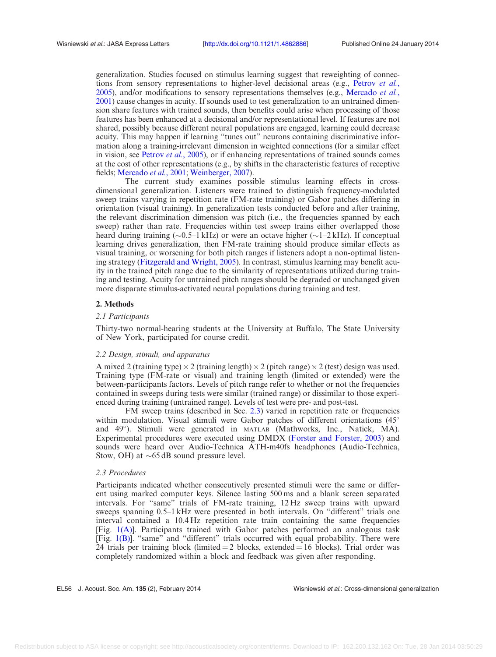generalization. Studies focused on stimulus learning suggest that reweighting of connec-tions from sensory representations to higher-level decisional areas (e.g., [Petrov](#page-5-0) *et al.*, [2005](#page-5-0)), and/or modifications to sensory representations themselves (e.g., [Mercado](#page-5-0) et al., [2001](#page-5-0)) cause changes in acuity. If sounds used to test generalization to an untrained dimension share features with trained sounds, then benefits could arise when processing of those features has been enhanced at a decisional and/or representational level. If features are not shared, possibly because different neural populations are engaged, learning could decrease acuity. This may happen if learning "tunes out" neurons containing discriminative information along a training-irrelevant dimension in weighted connections (for a similar effect in vision, see [Petrov](#page-5-0) *et al.*, 2005), or if enhancing representations of trained sounds comes at the cost of other representations (e.g., by shifts in the characteristic features of receptive fields; [Mercado](#page-5-0) et al., 2001; [Weinberger, 2007\)](#page-5-0).

The current study examines possible stimulus learning effects in crossdimensional generalization. Listeners were trained to distinguish frequency-modulated sweep trains varying in repetition rate (FM-rate training) or Gabor patches differing in orientation (visual training). In generalization tests conducted before and after training, the relevant discrimination dimension was pitch (i.e., the frequencies spanned by each sweep) rather than rate. Frequencies within test sweep trains either overlapped those heard during training ( $\sim 0.5$ –1 kHz) or were an octave higher ( $\sim 1-2$  kHz). If conceptual learning drives generalization, then FM-rate training should produce similar effects as visual training, or worsening for both pitch ranges if listeners adopt a non-optimal listening strategy ([Fitzgerald and Wright, 2005](#page-5-0)). In contrast, stimulus learning may benefit acuity in the trained pitch range due to the similarity of representations utilized during training and testing. Acuity for untrained pitch ranges should be degraded or unchanged given more disparate stimulus-activated neural populations during training and test.

#### 2. Methods

# 2.1 Participants

Thirty-two normal-hearing students at the University at Buffalo, The State University of New York, participated for course credit.

# 2.2 Design, stimuli, and apparatus

A mixed 2 (training type)  $\times$  2 (training length)  $\times$  2 (pitch range)  $\times$  2 (test) design was used. Training type (FM-rate or visual) and training length (limited or extended) were the between-participants factors. Levels of pitch range refer to whether or not the frequencies contained in sweeps during tests were similar (trained range) or dissimilar to those experienced during training (untrained range). Levels of test were pre- and post-test.

FM sweep trains (described in Sec. 2.3) varied in repetition rate or frequencies within modulation. Visual stimuli were Gabor patches of different orientations (45<sup>o</sup>) and  $49^{\circ}$ ). Stimuli were generated in MATLAB (Mathworks, Inc., Natick, MA). Experimental procedures were executed using DMDX [\(Forster and Forster, 2003\)](#page-5-0) and sounds were heard over Audio-Technica ATH-m40fs headphones (Audio-Technica, Stow, OH) at  $\sim$  65 dB sound pressure level.

## 2.3 Procedures

Participants indicated whether consecutively presented stimuli were the same or different using marked computer keys. Silence lasting 500 ms and a blank screen separated intervals. For "same" trials of FM-rate training, 12 Hz sweep trains with upward sweeps spanning 0.5–1 kHz were presented in both intervals. On "different" trials one interval contained a 10.4 Hz repetition rate train containing the same frequencies [Fig. [1\(A\)](#page-2-0)]. Participants trained with Gabor patches performed an analogous task [Fig. [1\(B\)\]](#page-2-0). "same" and "different" trials occurred with equal probability. There were 24 trials per training block (limited  $=$  2 blocks, extended  $=$  16 blocks). Trial order was completely randomized within a block and feedback was given after responding.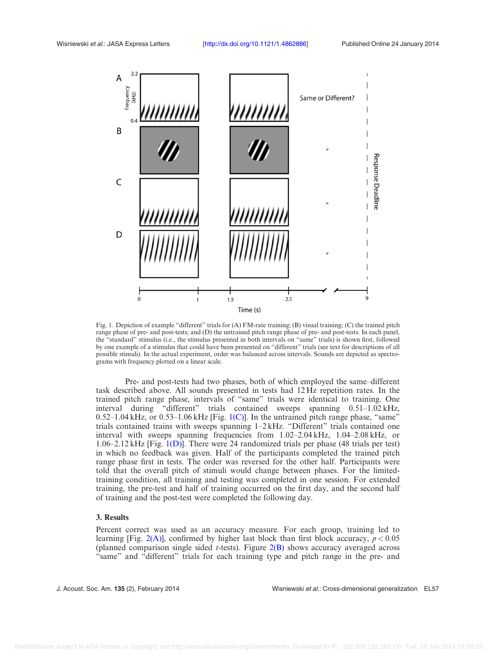<span id="page-2-0"></span>

Fig. 1. Depiction of example "different" trials for (A) FM-rate training; (B) visual training; (C) the trained pitch range phase of pre- and post-tests; and (D) the untrained pitch range phase of pre- and post-tests. In each panel, the "standard" stimulus (i.e., the stimulus presented in both intervals on "same" trials) is shown first, followed by one example of a stimulus that could have been presented on "different" trials (see text for descriptions of all possible stimuli). In the actual experiment, order was balanced across intervals. Sounds are depicted as spectrograms with frequency plotted on a linear scale.

Pre- and post-tests had two phases, both of which employed the same–different task described above. All sounds presented in tests had 12 Hz repetition rates. In the trained pitch range phase, intervals of "same" trials were identical to training. One interval during "different" trials contained sweeps spanning 0.51–1.02 kHz,  $0.52-1.04$  kHz, or  $0.53-1.06$  kHz [Fig.  $1(C)$ ]. In the untrained pitch range phase, "same" trials contained trains with sweeps spanning 1–2 kHz. "Different" trials contained one interval with sweeps spanning frequencies from 1.02–2.04 kHz, 1.04–2.08 kHz, or 1.06–2.12 kHz [Fig. 1(D)]. There were 24 randomized trials per phase (48 trials per test) in which no feedback was given. Half of the participants completed the trained pitch range phase first in tests. The order was reversed for the other half. Participants were told that the overall pitch of stimuli would change between phases. For the limitedtraining condition, all training and testing was completed in one session. For extended training, the pre-test and half of training occurred on the first day, and the second half of training and the post-test were completed the following day.

## 3. Results

Percent correct was used as an accuracy measure. For each group, training led to learning [Fig. [2\(A\)\]](#page-3-0), confirmed by higher last block than first block accuracy,  $p < 0.05$ (planned comparison single sided *t*-tests). Figure  $2(B)$  shows accuracy averaged across "same" and "different" trials for each training type and pitch range in the pre- and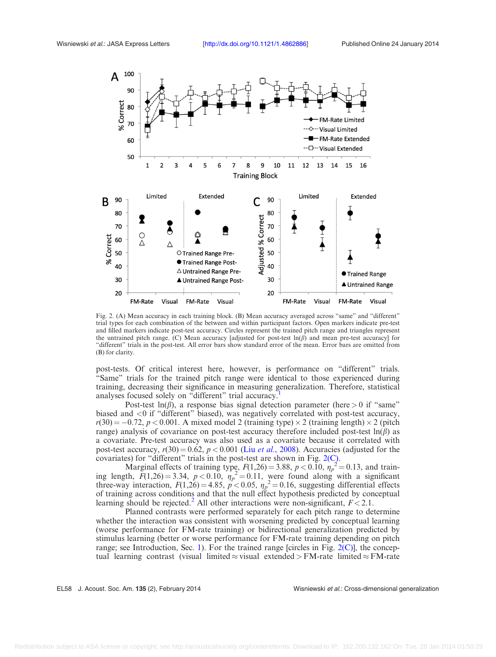<span id="page-3-0"></span>

Fig. 2. (A) Mean accuracy in each training block. (B) Mean accuracy averaged across "same" and "different" trial types for each combination of the between and within participant factors. Open markers indicate pre-test and filled markers indicate post-test accuracy. Circles represent the trained pitch range and triangles represent the untrained pitch range. (C) Mean accuracy [adjusted for post-test  $ln(\beta)$  and mean pre-test accuracy] for "different" trials in the post-test. All error bars show standard error of the mean. Error bars are omitted from (B) for clarity.

post-tests. Of critical interest here, however, is performance on "different" trials. "Same" trials for the trained pitch range were identical to those experienced during training, decreasing their significance in measuring generalization. Therefore, statistical analyses focused solely on "different" trial accuracy.

Post-test  $\ln(\beta)$ , a response bias signal detection parameter (here  $> 0$  if "same" biased and <0 if "different" biased), was negatively correlated with post-test accuracy,  $r(30) = -0.72$ ,  $p < 0.001$ . A mixed model 2 (training type)  $\times$  2 (training length)  $\times$  2 (pitch range) analysis of covariance on post-test accuracy therefore included post-test  $\ln(\beta)$  as a covariate. Pre-test accuracy was also used as a covariate because it correlated with post-test accuracy,  $r(30) = 0.62$ ,  $p < 0.001$  (Liu *et al.*[, 2008](#page-5-0)). Accuracies (adjusted for the covariates) for "different" trials in the post-test are shown in Fig. 2(C).

Marginal effects of training type,  $F(1,26) = 3.88$ ,  $p < 0.10$ ,  $\eta_p^2 = 0.13$ , and training length,  $\overline{F}(1,26) = 3.34$ ,  $p < 0.10$ ,  $\eta_p^2 = 0.11$ , were found along with a significant three-way interaction,  $F(1,26) = 4.85$ ,  $p < 0.05$ ,  $\eta_p^2 = 0.16$ , suggesting differential effects of training across conditions and that the null effect hypothesis predicted by conceptual learning should be rejected.<sup>[2](#page-5-0)</sup> All other interactions were non-significant,  $F < 2.1$ .

Planned contrasts were performed separately for each pitch range to determine whether the interaction was consistent with worsening predicted by conceptual learning (worse performance for FM-rate training) or bidirectional generalization predicted by stimulus learning (better or worse performance for FM-rate training depending on pitch range; see Introduction, Sec. [1\)](#page-0-0). For the trained range [circles in Fig.  $2(C)$ ], the conceptual learning contrast (visual limited  $\approx$  visual extended  $>$  FM-rate limited  $\approx$  FM-rate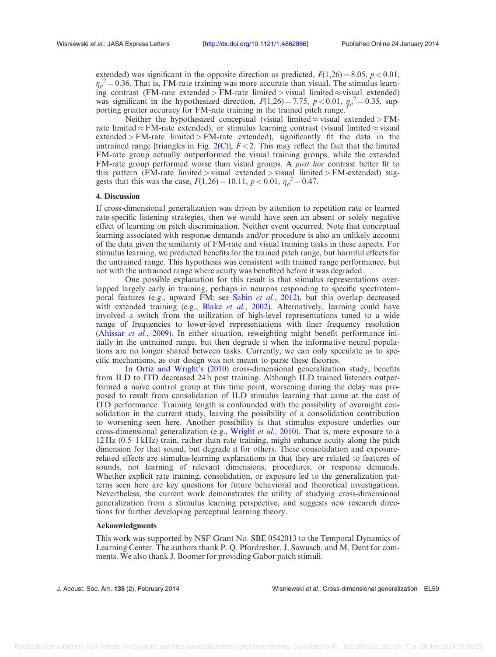extended) was significant in the opposite direction as predicted,  $F(1,26) = 8.05$ ,  $p < 0.01$ ,  $\eta_p^2$  = 0.36. That is, FM-rate training was more accurate than visual. The stimulus learning contrast (FM-rate extended > FM-rate limited > visual limited  $\approx$  visual extended) was significant in the hypothesized direction,  $F(1,26) = 7.75$ ,  $p < 0.01$ ,  $\eta_p^2 = 0.35$ , supporting greater accuracy for FM-rate training in the trained pitch range.

Neither the hypothesized conceptual (visual limited  $\approx$  visual extended  $>$  FMrate limited  $\approx$  FM-rate extended), or stimulus learning contrast (visual limited  $\approx$  visual extended  $>$  FM-rate limited  $>$  FM-rate extended), significantly fit the data in the untrained range [triangles in Fig. [2\(C\)](#page-3-0)],  $F < 2$ . This may reflect the fact that the limited FM-rate group actually outperformed the visual training groups, while the extended FM-rate group performed worse than visual groups. A post hoc contrast better fit to this pattern (FM-rate limited  $>$  visual extended  $>$  visual limited  $>$  FM-extended) suggests that this was the case,  $F(1,26) = 10.11$ ,  $p < 0.01$ ,  $\eta_p^2 = 0.47$ .

#### 4. Discussion

If cross-dimensional generalization was driven by attention to repetition rate or learned rate-specific listening strategies, then we would have seen an absent or solely negative effect of learning on pitch discrimination. Neither event occurred. Note that conceptual learning associated with response demands and/or procedure is also an unlikely account of the data given the similarity of FM-rate and visual training tasks in these aspects. For stimulus learning, we predicted benefits for the trained pitch range, but harmful effects for the untrained range. This hypothesis was consistent with trained range performance, but not with the untrained range where acuity was benefited before it was degraded.

One possible explanation for this result is that stimulus representations overlapped largely early in training, perhaps in neurons responding to specific spectrotem-poral features (e.g., upward FM; see Sabin et al.[, 2012\)](#page-5-0), but this overlap decreased with extended training (e.g., Blake et al.[, 2002\)](#page-5-0). Alternatively, learning could have involved a switch from the utilization of high-level representations tuned to a wide range of frequencies to lower-level representations with finer frequency resolution ([Ahissar](#page-5-0) et al., 2009). In either situation, reweighting might benefit performance initially in the untrained range, but then degrade it when the informative neural populations are no longer shared between tasks. Currently, we can only speculate as to specific mechanisms, as our design was not meant to parse these theories.

In [Ortiz and Wright's \(2010\)](#page-5-0) cross-dimensional generalization study, benefits from ILD to ITD decreased 24 h post training. Although ILD trained listeners outperformed a naïve control group at this time point, worsening during the delay was proposed to result from consolidation of ILD stimulus learning that came at the cost of ITD performance. Training length is confounded with the possibility of overnight consolidation in the current study, leaving the possibility of a consolidation contribution to worsening seen here. Another possibility is that stimulus exposure underlies our cross-dimensional generalization (e.g., [Wright](#page-5-0) et al., 2010). That is, mere exposure to a 12 Hz (0.5–1 kHz) train, rather than rate training, might enhance acuity along the pitch dimension for that sound, but degrade it for others. These consolidation and exposurerelated effects are stimulus-learning explanations in that they are related to features of sounds, not learning of relevant dimensions, procedures, or response demands. Whether explicit rate training, consolidation, or exposure led to the generalization patterns seen here are key questions for future behavioral and theoretical investigations. Nevertheless, the current work demonstrates the utility of studying cross-dimensional generalization from a stimulus learning perspective, and suggests new research directions for further developing perceptual learning theory.

#### Acknowledgments

This work was supported by NSF Grant No. SBE 0542013 to the Temporal Dynamics of Learning Center. The authors thank P. Q. Pfordresher, J. Sawusch, and M. Dent for comments. We also thank J. Boomer for providing Gabor patch stimuli.